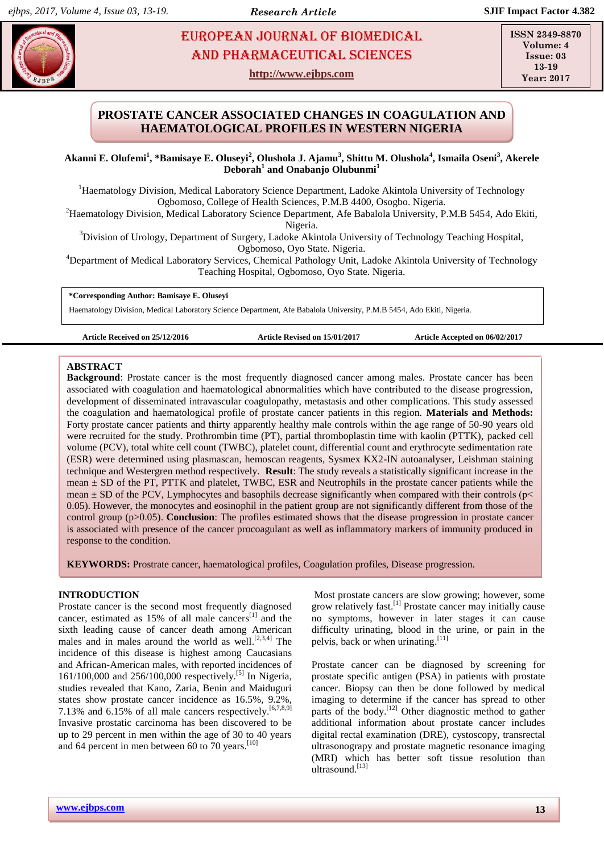# **ARRICAL EUROPEAN JOURNAL OF BIOMEDICAL AND PHARMACEUTICAL SCIENCES** AND Pharmaceutical sciences

**http://www.ejbps.com**

**ISSN 2349-8870 Volume: 4 Issue: 03 13-19 Year: 2017**

## **PROSTATE CANCER ASSOCIATED CHANGES IN COAGULATION AND HAEMATOLOGICAL PROFILES IN WESTERN NIGERIA**

**Akanni E. Olufemi<sup>1</sup> , \*Bamisaye E. Oluseyi<sup>2</sup> , Olushola J. Ajamu<sup>3</sup> , Shittu M. Olushola<sup>4</sup> , Ismaila Oseni<sup>3</sup> , Akerele Deborah<sup>1</sup> and Onabanjo Olubunmi<sup>1</sup>**

<sup>1</sup>Haematology Division, Medical Laboratory Science Department, Ladoke Akintola University of Technology Ogbomoso, College of Health Sciences, P.M.B 4400, Osogbo. Nigeria.

<sup>2</sup>Haematology Division, Medical Laboratory Science Department, Afe Babalola University, P.M.B 5454, Ado Ekiti, Nigeria.

<sup>3</sup>Division of Urology, Department of Surgery, Ladoke Akintola University of Technology Teaching Hospital, Ogbomoso, Oyo State. Nigeria.

<sup>4</sup>Department of Medical Laboratory Services, Chemical Pathology Unit, Ladoke Akintola University of Technology Teaching Hospital, Ogbomoso, Oyo State. Nigeria.

**\*Corresponding Author: Bamisaye E. Oluseyi**

Haematology Division, Medical Laboratory Science Department, Afe Babalola University, P.M.B 5454, Ado Ekiti, Nigeria.

**Article Received on 25/12/2016 Article Revised on 15/01/2017 Article Accepted on 06/02/2017**

#### **ABSTRACT**

**Background**: Prostate cancer is the most frequently diagnosed cancer among males. Prostate cancer has been associated with coagulation and haematological abnormalities which have contributed to the disease progression, development of disseminated intravascular coagulopathy, metastasis and other complications. This study assessed the coagulation and haematological profile of prostate cancer patients in this region. **Materials and Methods:** Forty prostate cancer patients and thirty apparently healthy male controls within the age range of 50-90 years old were recruited for the study. Prothrombin time (PT), partial thromboplastin time with kaolin (PTTK), packed cell volume (PCV), total white cell count (TWBC), platelet count, differential count and erythrocyte sedimentation rate (ESR) were determined using plasmascan, hemoscan reagents, Sysmex KX2-IN autoanalyser, Leishman staining technique and Westergren method respectively. **Result**: The study reveals a statistically significant increase in the mean ± SD of the PT, PTTK and platelet, TWBC, ESR and Neutrophils in the prostate cancer patients while the mean  $\pm$  SD of the PCV, Lymphocytes and basophils decrease significantly when compared with their controls ( $p<$ 0.05). However, the monocytes and eosinophil in the patient group are not significantly different from those of the control group (p>0.05). **Conclusion**: The profiles estimated shows that the disease progression in prostate cancer is associated with presence of the cancer procoagulant as well as inflammatory markers of immunity produced in response to the condition.

**KEYWORDS:** Prostrate cancer, haematological profiles, Coagulation profiles, Disease progression.

## **INTRODUCTION**

Prostate cancer is the second most frequently diagnosed cancer, estimated as  $15%$  of all male cancers<sup>[1]</sup> and the sixth leading cause of cancer death among American males and in males around the world as well.<sup>[2,3,4]</sup> The incidence of this disease is highest among Caucasians and African-American males, with reported incidences of 161/100,000 and 256/100,000 respectively.<sup>[5]</sup> In Nigeria, studies revealed that Kano, Zaria, Benin and Maiduguri states show prostate cancer incidence as 16.5%, 9.2%, 7.13% and  $6.15\%$  of all male cancers respectively.<sup>[6,7,8,9]</sup> Invasive prostatic carcinoma has been discovered to be up to 29 percent in men within the age of 30 to 40 years and 64 percent in men between 60 to 70 years.<sup>[10]</sup>

Most prostate cancers are slow growing; however, some grow relatively fast.<sup>[1]</sup> Prostate cancer may initially cause no symptoms, however in later stages it can cause difficulty urinating, blood in the urine, or pain in the pelvis, back or when urinating.<sup>[11]</sup>

Prostate cancer can be diagnosed by screening for prostate specific antigen (PSA) in patients with prostate cancer. Biopsy can then be done followed by medical imaging to determine if the cancer has spread to other parts of the body.<sup>[12]</sup> Other diagnostic method to gather additional information about prostate cancer includes digital rectal examination (DRE), cystoscopy, transrectal ultrasonograpy and prostate magnetic resonance imaging (MRI) which has better soft tissue resolution than ultrasound.<sup>[13]</sup>

**www.ejbps.com 13**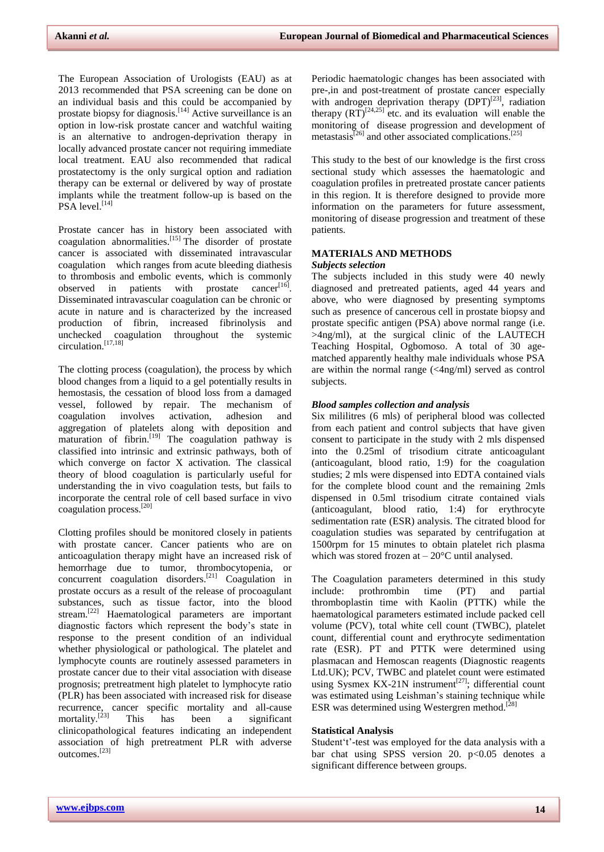The European Association of Urologists (EAU) as at 2013 recommended that PSA screening can be done on an individual basis and this could be accompanied by prostate biopsy for diagnosis.<sup>[14]</sup> Active surveillance is an option in low-risk prostate cancer and watchful waiting is an alternative to androgen-deprivation therapy in locally advanced prostate cancer not requiring immediate local treatment. EAU also recommended that radical prostatectomy is the only surgical option and radiation therapy can be external or delivered by way of prostate implants while the treatment follow-up is based on the  $PSA$  level.  $^{[14]}$ 

Prostate cancer has in history been associated with coagulation abnormalities.<sup>[15]</sup> The disorder of prostate cancer is associated with disseminated intravascular coagulation which ranges from acute bleeding diathesis to thrombosis and embolic events, which is commonly observed in patients with prostate cancer<sup>[16]</sup>. Disseminated intravascular coagulation can be chronic or acute in nature and is characterized by the increased production of fibrin, increased fibrinolysis and coagulation throughout the systemic circulation. [17,18]

The clotting process (coagulation), the process by which blood changes from a liquid to a gel potentially results in hemostasis, the cessation of blood loss from a damaged vessel, followed by repair. The mechanism of coagulation involves activation, adhesion and aggregation of platelets along with deposition and maturation of fibrin.<sup>[19]</sup> The coagulation pathway is classified into intrinsic and extrinsic pathways, both of which converge on factor X activation. The classical theory of blood coagulation is particularly useful for understanding the in vivo coagulation tests, but fails to incorporate the central role of cell based surface in vivo coagulation process. [20]

Clotting profiles should be monitored closely in patients with prostate cancer. Cancer patients who are on anticoagulation therapy might have an increased risk of hemorrhage due to tumor, thrombocytopenia, or concurrent coagulation disorders. [21] Coagulation in prostate occurs as a result of the release of procoagulant substances, such as tissue factor, into the blood stream.<sup>[22]</sup> Haematological parameters are important diagnostic factors which represent the body's state in response to the present condition of an individual whether physiological or pathological. The platelet and lymphocyte counts are routinely assessed parameters in prostate cancer due to their vital association with disease prognosis; pretreatment high platelet to lymphocyte ratio (PLR) has been associated with increased risk for disease recurrence, cancer specific mortality and all-cause mortality. $^{[23]}$ This has been a significant clinicopathological features indicating an independent association of high pretreatment PLR with adverse outcomes.[23]

Periodic haematologic changes has been associated with pre-,in and post-treatment of prostate cancer especially with androgen deprivation therapy  $(DPT)^{[23]}$ , radiation therapy  $(RT)^{[24,25]}$  etc. and its evaluation will enable the monitoring of disease progression and development of metastasis<sup>[26]</sup> and other associated complications.<sup>[25]</sup>

This study to the best of our knowledge is the first cross sectional study which assesses the haematologic and coagulation profiles in pretreated prostate cancer patients in this region. It is therefore designed to provide more information on the parameters for future assessment, monitoring of disease progression and treatment of these patients.

### **MATERIALS AND METHODS** *Subjects selection*

The subjects included in this study were 40 newly diagnosed and pretreated patients, aged 44 years and above, who were diagnosed by presenting symptoms such as presence of cancerous cell in prostate biopsy and prostate specific antigen (PSA) above normal range (i.e. >4ng/ml), at the surgical clinic of the LAUTECH Teaching Hospital, Ogbomoso. A total of 30 agematched apparently healthy male individuals whose PSA are within the normal range (<4ng/ml) served as control subjects.

## *Blood samples collection and analysis*

Six mililitres (6 mls) of peripheral blood was collected from each patient and control subjects that have given consent to participate in the study with 2 mls dispensed into the 0.25ml of trisodium citrate anticoagulant (anticoagulant, blood ratio, 1:9) for the coagulation studies; 2 mls were dispensed into EDTA contained vials for the complete blood count and the remaining 2mls dispensed in 0.5ml trisodium citrate contained vials (anticoagulant, blood ratio, 1:4) for erythrocyte sedimentation rate (ESR) analysis. The citrated blood for coagulation studies was separated by centrifugation at 1500rpm for 15 minutes to obtain platelet rich plasma which was stored frozen at  $-20^{\circ}$ C until analysed.

The Coagulation parameters determined in this study include: prothrombin time (PT) and partial thromboplastin time with Kaolin (PTTK) while the haematological parameters estimated include packed cell volume (PCV), total white cell count (TWBC), platelet count, differential count and erythrocyte sedimentation rate (ESR). PT and PTTK were determined using plasmacan and Hemoscan reagents (Diagnostic reagents Ltd.UK); PCV, TWBC and platelet count were estimated using Sysmex KX-21N instrument<sup>[27]</sup>; differential count was estimated using Leishman's staining technique while ESR was determined using Westergren method.<sup>[28]</sup>

## **Statistical Analysis**

Student't'-test was employed for the data analysis with a bar chat using SPSS version 20. p<0.05 denotes a significant difference between groups.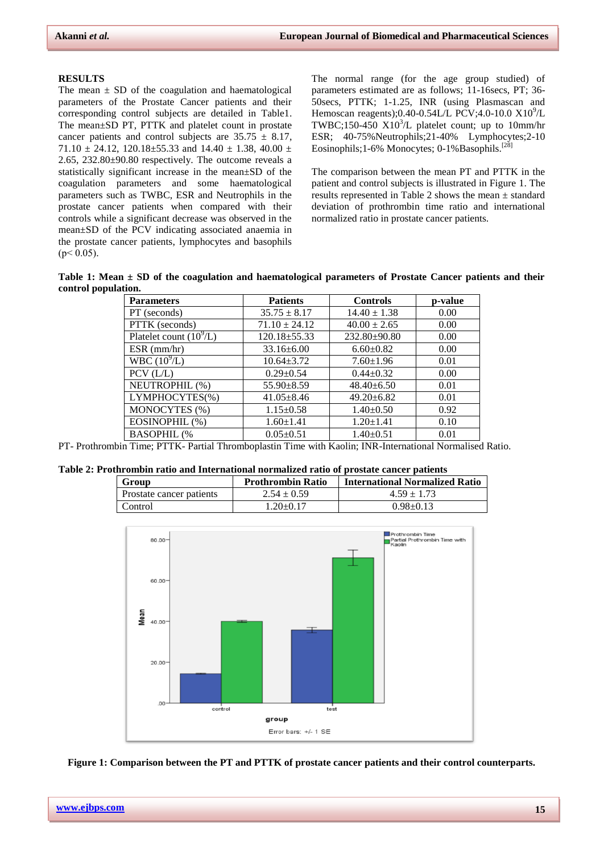#### **RESULTS**

The mean  $\pm$  SD of the coagulation and haematological parameters of the Prostate Cancer patients and their corresponding control subjects are detailed in Table1. The mean±SD PT, PTTK and platelet count in prostate cancer patients and control subjects are  $35.75 \pm 8.17$ , 71.10  $\pm$  24.12, 120.18 $\pm$ 55.33 and 14.40  $\pm$  1.38, 40.00  $\pm$ 2.65, 232.80±90.80 respectively. The outcome reveals a statistically significant increase in the mean±SD of the coagulation parameters and some haematological parameters such as TWBC, ESR and Neutrophils in the prostate cancer patients when compared with their controls while a significant decrease was observed in the mean±SD of the PCV indicating associated anaemia in the prostate cancer patients, lymphocytes and basophils  $(p < 0.05)$ .

The normal range (for the age group studied) of parameters estimated are as follows; 11-16secs, PT; 36- 50secs, PTTK; 1-1.25, INR (using Plasmascan and Hemoscan reagents);0.40-0.54L/L PCV;4.0-10.0  $X10^{9}/L$ TWBC;150-450  $X10<sup>3</sup>/L$  platelet count; up to 10mm/hr ESR; 40-75%Neutrophils;21-40% Lymphocytes;2-10 Eosinophils;1-6% Monocytes; 0-1% Basophils.<sup>[28]</sup>

The comparison between the mean PT and PTTK in the patient and control subjects is illustrated in Figure 1. The results represented in Table 2 shows the mean ± standard deviation of prothrombin time ratio and international normalized ratio in prostate cancer patients.

**Table 1: Mean ± SD of the coagulation and haematological parameters of Prostate Cancer patients and their control population.**

| <b>Parameters</b>         | <b>Patients</b>    | <b>Controls</b>    | p-value |  |
|---------------------------|--------------------|--------------------|---------|--|
| PT (seconds)              | $35.75 \pm 8.17$   | $14.40 \pm 1.38$   | 0.00    |  |
| PTTK (seconds)            | $71.10 \pm 24.12$  | $40.00 \pm 2.65$   | 0.00    |  |
| Platelet count $(10^9/L)$ | $120.18 \pm 55.33$ | $232.80 \pm 90.80$ | 0.00    |  |
| $ESR$ (mm/hr)             | $33.16 \pm 6.00$   | $6.60 \pm 0.82$    | 0.00    |  |
| WBC $(10^9/L)$            | $10.64 \pm 3.72$   | $7.60 \pm 1.96$    | 0.01    |  |
| $PCV$ ( $L/L$ )           | $0.29 \pm 0.54$    | $0.44 \pm 0.32$    | 0.00    |  |
| NEUTROPHIL (%)            | $55.90 \pm 8.59$   | $48.40 \pm 6.50$   | 0.01    |  |
| LYMPHOCYTES(%)            | $41.05 \pm 8.46$   | $49.20 \pm 6.82$   | 0.01    |  |
| MONOCYTES (%)             | $1.15 \pm 0.58$    | $1.40 \pm 0.50$    | 0.92    |  |
| EOSINOPHIL (%)            | $1.60 \pm 1.41$    | $1.20 \pm 1.41$    | 0.10    |  |
| <b>BASOPHIL (%</b>        | $0.05 \pm 0.51$    | $1.40 \pm 0.51$    | 0.01    |  |

PT- Prothrombin Time; PTTK- Partial Thromboplastin Time with Kaolin; INR-International Normalised Ratio.

| Table 2: Prothrombin ratio and International normalized ratio of prostate cancer patients |  |  |
|-------------------------------------------------------------------------------------------|--|--|
|-------------------------------------------------------------------------------------------|--|--|

| Group                    | <b>Prothrombin Ratio</b> | <b>International Normalized Ratio</b> |
|--------------------------|--------------------------|---------------------------------------|
| Prostate cancer patients | $2.54 \pm 0.59$          | $4.59 \pm 1.73$                       |
| Control                  | $1.20+0.17$              | $0.98 + 0.13$                         |



**Figure 1: Comparison between the PT and PTTK of prostate cancer patients and their control counterparts.**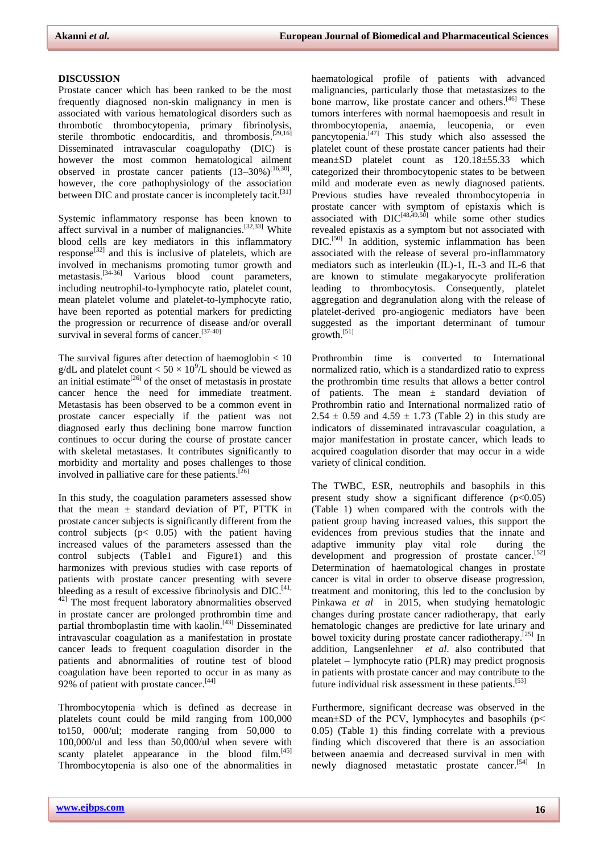### **DISCUSSION**

Prostate cancer which has been ranked to be the most frequently diagnosed non-skin malignancy in men is associated with various hematological disorders such as thrombotic thrombocytopenia, primary fibrinolysis, sterile thrombotic endocarditis, and thrombosis.<sup>[29,16]</sup> Disseminated intravascular coagulopathy (DIC) is however the most common hematological ailment observed in prostate cancer patients  $(13-30\%)^{[16,30]}$ , however, the core pathophysiology of the association between DIC and prostate cancer is incompletely tacit.<sup>[31]</sup>

Systemic inflammatory response has been known to affect survival in a number of malignancies.<sup>[32,33]</sup> White blood cells are key mediators in this inflammatory response<sup>[32]</sup> and this is inclusive of platelets, which are involved in mechanisms promoting tumor growth and metastasis.<sup>[34-36]</sup> Various blood count parameters, including neutrophil-to-lymphocyte ratio, platelet count, mean platelet volume and platelet-to-lymphocyte ratio, have been reported as potential markers for predicting the progression or recurrence of disease and/or overall survival in several forms of cancer.<sup>[37-40]</sup>

The survival figures after detection of haemoglobin  $< 10$ g/dL and platelet count  $< 50 \times 10^{9}/L$  should be viewed as an initial estimate<sup>[26]</sup> of the onset of metastasis in prostate cancer hence the need for immediate treatment. Metastasis has been observed to be a common event in prostate cancer especially if the patient was not diagnosed early thus declining bone marrow function continues to occur during the course of prostate cancer with skeletal metastases. It contributes significantly to morbidity and mortality and poses challenges to those involved in palliative care for these patients.  $[26]$ 

In this study, the coagulation parameters assessed show that the mean  $\pm$  standard deviation of PT, PTTK in prostate cancer subjects is significantly different from the control subjects  $(p< 0.05)$  with the patient having increased values of the parameters assessed than the control subjects (Table1 and Figure1) and this harmonizes with previous studies with case reports of patients with prostate cancer presenting with severe bleeding as a result of excessive fibrinolysis and DIC.<sup>[41,</sup> 42] The most frequent laboratory abnormalities observed in prostate cancer are prolonged prothrombin time and partial thromboplastin time with kaolin.<sup>[43]</sup> Disseminated intravascular coagulation as a manifestation in prostate cancer leads to frequent coagulation disorder in the patients and abnormalities of routine test of blood coagulation have been reported to occur in as many as 92% of patient with prostate cancer.<sup>[44]</sup>

Thrombocytopenia which is defined as decrease in platelets count could be mild ranging from 100,000 to150, 000/ul; moderate ranging from 50,000 to 100,000/ul and less than 50,000/ul when severe with scanty platelet appearance in the blood film.<sup>[45]</sup> Thrombocytopenia is also one of the abnormalities in

haematological profile of patients with advanced malignancies, particularly those that metastasizes to the bone marrow, like prostate cancer and others.<sup>[46]</sup> These tumors interferes with normal haemopoesis and result in thrombocytopenia, anaemia, leucopenia, or even pancytopenia.<sup>[47]</sup> This study which also assessed the platelet count of these prostate cancer patients had their mean±SD platelet count as 120.18±55.33 which categorized their thrombocytopenic states to be between mild and moderate even as newly diagnosed patients. Previous studies have revealed thrombocytopenia in prostate cancer with symptom of epistaxis which is associated with  $DIC^{[48,49,50]}$  while some other studies revealed epistaxis as a symptom but not associated with DIC.<sup>[50]</sup> In addition, systemic inflammation has been associated with the release of several pro-inflammatory mediators such as interleukin (IL)-1, IL-3 and IL-6 that are known to stimulate megakaryocyte proliferation leading to thrombocytosis. Consequently, platelet aggregation and degranulation along with the release of platelet-derived pro-angiogenic mediators have been suggested as the important determinant of tumour growth. [51]

Prothrombin time is converted to International normalized ratio, which is a standardized ratio to express the prothrombin time results that allows a better control of patients. The mean ± standard deviation of Prothrombin ratio and International normalized ratio of 2.54  $\pm$  0.59 and 4.59  $\pm$  1.73 (Table 2) in this study are indicators of disseminated intravascular coagulation, a major manifestation in prostate cancer, which leads to acquired coagulation disorder that may occur in a wide variety of clinical condition.

The TWBC, ESR, neutrophils and basophils in this present study show a significant difference  $(p<0.05)$ (Table 1) when compared with the controls with the patient group having increased values, this support the evidences from previous studies that the innate and adaptive immunity play vital role during the development and progression of prostate cancer.<sup>[52]</sup> Determination of haematological changes in prostate cancer is vital in order to observe disease progression, treatment and monitoring, this led to the conclusion by Pinkawa *et al* in 2015, when studying hematologic changes during prostate cancer radiotherapy, that early hematologic changes are predictive for late urinary and bowel toxicity during prostate cancer radiotherapy.<sup>[25]</sup> In addition, [Langsenlehner](https://www.ncbi.nlm.nih.gov/pubmed/?term=Langsenlehner%20T%5BAuthor%5D&cauthor=true&cauthor_uid=25769845) *et al*. also contributed that platelet – lymphocyte ratio (PLR) may predict prognosis in patients with prostate cancer and may contribute to the future individual risk assessment in these patients.<sup>[53]</sup>

Furthermore, significant decrease was observed in the mean±SD of the PCV, lymphocytes and basophils (p< 0.05) (Table 1) this finding correlate with a previous finding which discovered that there is an association between anaemia and decreased survival in men with newly diagnosed metastatic prostate cancer.<sup>[54]</sup> In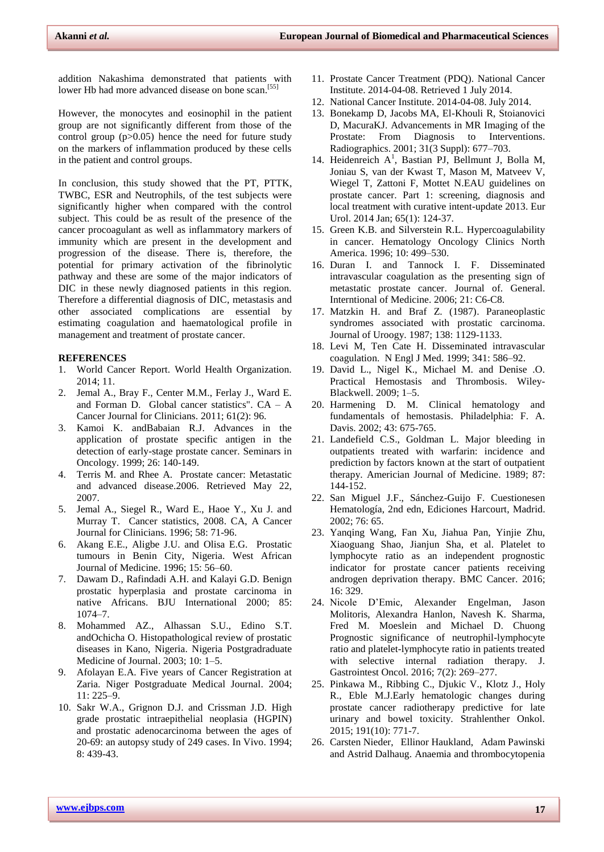addition Nakashima demonstrated that patients with lower Hb had more advanced disease on bone scan.<sup>[55]</sup>

However, the monocytes and eosinophil in the patient group are not significantly different from those of the control group (p>0.05) hence the need for future study on the markers of inflammation produced by these cells in the patient and control groups.

In conclusion, this study showed that the PT, PTTK, TWBC, ESR and Neutrophils, of the test subjects were significantly higher when compared with the control subject. This could be as result of the presence of the cancer procoagulant as well as inflammatory markers of immunity which are present in the development and progression of the disease. There is, therefore, the potential for primary activation of the fibrinolytic pathway and these are some of the major indicators of DIC in these newly diagnosed patients in this region. Therefore a differential diagnosis of DIC, metastasis and other associated complications are essential by estimating coagulation and haematological profile in management and treatment of prostate cancer.

## **REFERENCES**

- 1. World Cancer Report. World Health Organization. 2014; 11.
- 2. Jemal A., Bray F., Center M.M., Ferlay J., Ward E. and Forman D. Global cancer statistics".  $CA - A$ Cancer Journal for Clinicians. 2011; 61(2): 96.
- 3. Kamoi K. andBabaian R.J. Advances in the application of prostate specific antigen in the detection of early-stage prostate cancer. Seminars in Oncology. 1999; 26: 140-149.
- 4. Terris M. and Rhee A. Prostate cancer: Metastatic and advanced disease.2006. Retrieved May 22, 2007.
- 5. Jemal A., Siegel R., Ward E., Haoe Y., Xu J. and Murray T. Cancer statistics, 2008. CA, A Cancer Journal for Clinicians. 1996; 58: 71-96.
- 6. Akang E.E., Aligbe J.U. and Olisa E.G. Prostatic tumours in Benin City, Nigeria. West African Journal of Medicine. 1996; 15: 56–60.
- 7. Dawam D., Rafindadi A.H. and Kalayi G.D. Benign prostatic hyperplasia and prostate carcinoma in native Africans. BJU International 2000; 85: 1074–7.
- 8. Mohammed AZ., Alhassan S.U., Edino S.T. andOchicha O. Histopathological review of prostatic diseases in Kano, Nigeria. Nigeria Postgradraduate Medicine of Journal. 2003; 10: 1–5.
- 9. Afolayan E.A. Five years of Cancer Registration at Zaria. Niger Postgraduate Medical Journal. 2004; 11: 225–9.
- 10. Sakr W.A., Grignon D.J. and Crissman J.D. High grade prostatic intraepithelial neoplasia (HGPIN) and prostatic adenocarcinoma between the ages of 20-69: an autopsy study of 249 cases. In Vivo. 1994; 8: 439-43.
- 11. Prostate Cancer Treatment (PDQ). National Cancer Institute. 2014-04-08. Retrieved 1 July 2014.
- 12. National Cancer Institute. 2014-04-08. July 2014.
- 13. Bonekamp D, Jacobs MA, El-Khouli R, Stoianovici D, MacuraKJ. [Advancements in MR Imaging of the](mhtml:file://E:/Prostate%20cancer%20-%20Wikipedia,%20the%20free%20encyclopedia.mht!https://www.ncbi.nlm.nih.gov/pmc/articles/PMC3093638)  [Prostate: From Diagnosis to Interventions.](mhtml:file://E:/Prostate%20cancer%20-%20Wikipedia,%20the%20free%20encyclopedia.mht!https://www.ncbi.nlm.nih.gov/pmc/articles/PMC3093638)  Radiographics. 2001; 31(3 Suppl): 677–703.
- 14. [Heidenreich A](http://www.ncbi.nlm.nih.gov/pubmed/?term=Heidenreich%20A%5BAuthor%5D&cauthor=true&cauthor_uid=24207135)<sup>1</sup>, [Bastian PJ,](http://www.ncbi.nlm.nih.gov/pubmed/?term=Bastian%20PJ%5BAuthor%5D&cauthor=true&cauthor_uid=24207135) [Bellmunt J,](http://www.ncbi.nlm.nih.gov/pubmed/?term=Bellmunt%20J%5BAuthor%5D&cauthor=true&cauthor_uid=24207135) Bolla M, [Joniau S,](http://www.ncbi.nlm.nih.gov/pubmed/?term=Joniau%20S%5BAuthor%5D&cauthor=true&cauthor_uid=24207135) [van der Kwast T,](http://www.ncbi.nlm.nih.gov/pubmed/?term=van%20der%20Kwast%20T%5BAuthor%5D&cauthor=true&cauthor_uid=24207135) [Mason M,](http://www.ncbi.nlm.nih.gov/pubmed/?term=Mason%20M%5BAuthor%5D&cauthor=true&cauthor_uid=24207135) [Matveev V,](http://www.ncbi.nlm.nih.gov/pubmed/?term=Matveev%20V%5BAuthor%5D&cauthor=true&cauthor_uid=24207135)  [Wiegel T,](http://www.ncbi.nlm.nih.gov/pubmed/?term=Wiegel%20T%5BAuthor%5D&cauthor=true&cauthor_uid=24207135) [Zattoni F,](http://www.ncbi.nlm.nih.gov/pubmed/?term=Zattoni%20F%5BAuthor%5D&cauthor=true&cauthor_uid=24207135) [Mottet N.](http://www.ncbi.nlm.nih.gov/pubmed/?term=Mottet%20N%5BAuthor%5D&cauthor=true&cauthor_uid=24207135)EAU guidelines on prostate cancer. Part 1: screening, diagnosis and local treatment with curative intent-update 2013[. Eur](file:///C:/Users/Mrs/Documents/Coagulation%20Profile%20in%20Prostrate%20Ca/EAU%20guidelines%20on%20prostate%20cancer.%20part%201%20%20screening,%20diagnosis,%20and%20local%20treatment%20with%20curative%20intent-update%202013.%20-%20PubMed%20-%20NCBI.htm)  [Urol.](file:///C:/Users/Mrs/Documents/Coagulation%20Profile%20in%20Prostrate%20Ca/EAU%20guidelines%20on%20prostate%20cancer.%20part%201%20%20screening,%20diagnosis,%20and%20local%20treatment%20with%20curative%20intent-update%202013.%20-%20PubMed%20-%20NCBI.htm) 2014 Jan; 65(1): 124-37.
- 15. Green K.B. and Silverstein R.L. Hypercoagulability in cancer. Hematology Oncology Clinics North America. 1996; 10: 499–530.
- 16. Duran I. and Tannock I. F. Disseminated intravascular coagulation as the presenting sign of metastatic prostate cancer. Journal of. General. Interntional of Medicine. 2006; 21: C6-C8.
- 17. Matzkin H. and Braf Z. (1987). Paraneoplastic syndromes associated with prostatic carcinoma. Journal of Uroogy. 1987; 138: 1129-1133.
- 18. Levi M, Ten Cate H. Disseminated intravascular coagulation. N Engl J Med. 1999; 341: 586–92.
- 19. David L., Nigel K., Michael M. and Denise .O. Practical Hemostasis and Thrombosis. Wiley-Blackwell. 2009; 1–5.
- 20. Harmening D. M. Clinical hematology and fundamentals of hemostasis. Philadelphia: F. A. Davis. 2002; 43: 675-765.
- 21. Landefield C.S., Goldman L. Major bleeding in outpatients treated with warfarin: incidence and prediction by factors known at the start of outpatient therapy. Americian Journal of Medicine. 1989; 87: 144-152.
- 22. San Miguel J.F., Sánchez-Guijo F. Cuestionesen Hematología, 2nd edn, Ediciones Harcourt, Madrid. 2002; 76: 65.
- 23. [Yanqing Wang,](http://www.ncbi.nlm.nih.gov/pubmed/?term=Wang%20Y%5BAuthor%5D&cauthor=true&cauthor_uid=27222030) [Fan Xu,](http://www.ncbi.nlm.nih.gov/pubmed/?term=Xu%20F%5BAuthor%5D&cauthor=true&cauthor_uid=27222030) [Jiahua Pan,](http://www.ncbi.nlm.nih.gov/pubmed/?term=Pan%20J%5BAuthor%5D&cauthor=true&cauthor_uid=27222030) [Yinjie Zhu,](http://www.ncbi.nlm.nih.gov/pubmed/?term=Zhu%20Y%5BAuthor%5D&cauthor=true&cauthor_uid=27222030)  [Xiaoguang Shao,](http://www.ncbi.nlm.nih.gov/pubmed/?term=Shao%20X%5BAuthor%5D&cauthor=true&cauthor_uid=27222030) [Jianjun Sha,](http://www.ncbi.nlm.nih.gov/pubmed/?term=Sha%20J%5BAuthor%5D&cauthor=true&cauthor_uid=27222030) et al. Platelet to lymphocyte ratio as an independent prognostic indicator for prostate cancer patients receiving androgen deprivation therapy. [BMC Cancer.](file:///C:/Users/Mrs/Documents/Coagulation%20Profile%20in%20Prostrate%20Ca/Platelet%20to%20lymphocyte%20ratio%20as%20an%20independent%20prognostic%20indicator%20for%20prostate%20cancer%20patients%20receiving%20androgen%20deprivation%20therapy.htm) 2016; 16: 329.
- 24. [Nicole D'Emic,](https://www.ncbi.nlm.nih.gov/pubmed/?term=D%26%23x02019%3BEmic%20N%5BAuthor%5D&cauthor=true&cauthor_uid=27034796) [Alexander Engelman,](https://www.ncbi.nlm.nih.gov/pubmed/?term=Engelman%20A%5BAuthor%5D&cauthor=true&cauthor_uid=27034796) [Jason](https://www.ncbi.nlm.nih.gov/pubmed/?term=Molitoris%20J%5BAuthor%5D&cauthor=true&cauthor_uid=27034796)  [Molitoris,](https://www.ncbi.nlm.nih.gov/pubmed/?term=Molitoris%20J%5BAuthor%5D&cauthor=true&cauthor_uid=27034796) [Alexandra Hanlon,](https://www.ncbi.nlm.nih.gov/pubmed/?term=Hanlon%20A%5BAuthor%5D&cauthor=true&cauthor_uid=27034796) [Navesh K. Sharma,](https://www.ncbi.nlm.nih.gov/pubmed/?term=Sharma%20NK%5BAuthor%5D&cauthor=true&cauthor_uid=27034796)  [Fred M. Moeslein](https://www.ncbi.nlm.nih.gov/pubmed/?term=Moeslein%20FM%5BAuthor%5D&cauthor=true&cauthor_uid=27034796) and [Michael D. Chuong](https://www.ncbi.nlm.nih.gov/pubmed/?term=Chuong%20MD%5BAuthor%5D&cauthor=true&cauthor_uid=27034796) Prognostic significance of neutrophil-lymphocyte ratio and platelet-lymphocyte ratio in patients treated with selective internal radiation therapy. J. [Gastrointest Oncol.](file:///C:/Users/Mrs/Documents/Coagulation%20Profile%20in%20Prostrate%20Ca/Prognostic%20significance%20of%20neutrophil-lymphocyte%20ratio%20and%20platelet-lymphocyte%20ratio%20in%20patients%20treated%20with%20selective%20internal%20radiation%20therapy.htm) 2016; 7(2): 269–277.
- 25. [Pinkawa M., Ribbing C.](file://pubmed), [Djukic V.](file://pubmed), [Klotz J.](file://pubmed), [Holy](file://pubmed)  [R.](file://pubmed), [Eble M.J.](file://pubmed)Early hematologic changes during prostate cancer radiotherapy predictive for late urinary and bowel toxicity. Strahlenther Onkol. 2015; 191(10): 771-7.
- 26. Carsten Nieder, Ellinor Haukland, Adam Pawinski and Astrid Dalhaug. Anaemia and thrombocytopenia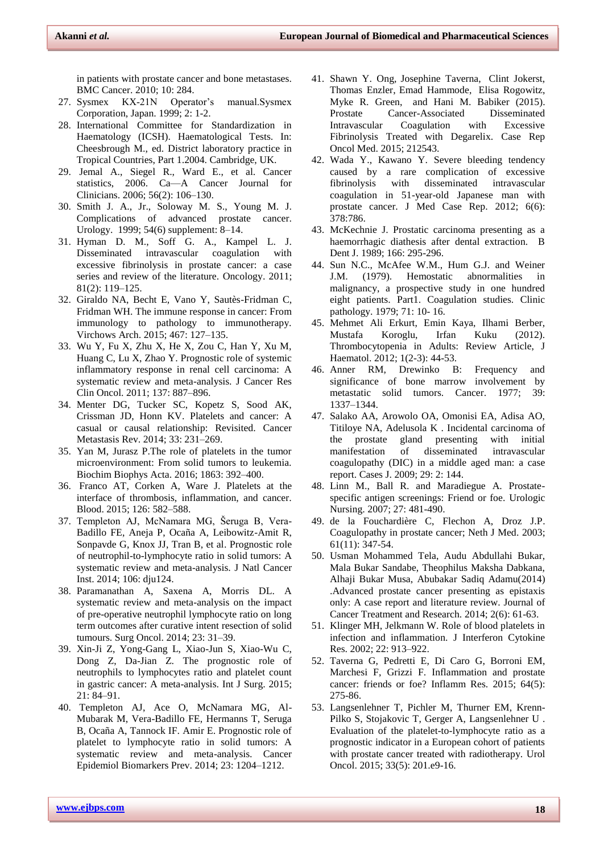in patients with prostate cancer and bone metastases. BMC Cancer. 2010; 10: 284.

- 27. Sysmex KX-21N Operator's manual.Sysmex Corporation, Japan. 1999; 2: 1-2.
- 28. International Committee for Standardization in Haematology (ICSH). Haematological Tests. In: Cheesbrough M., ed. District laboratory practice in Tropical Countries, Part 1.2004. Cambridge, UK.
- 29. Jemal A., Siegel R., Ward E., et al. Cancer statistics, 2006. Ca—A Cancer Journal for Clinicians. 2006; 56(2): 106–130.
- 30. Smith J. A., Jr., Soloway M. S., Young M. J. Complications of advanced prostate cancer. Urology. 1999; 54(6) supplement: 8–14.
- 31. Hyman D. M., Soff G. A., Kampel L. J. Disseminated intravascular coagulation with excessive fibrinolysis in prostate cancer: a case series and review of the literature. Oncology. 2011; 81(2): 119–125.
- 32. Giraldo NA, Becht E, Vano Y, Sautès-Fridman C, Fridman WH. The immune response in cancer: From immunology to pathology to immunotherapy. Virchows Arch. 2015; 467: 127–135.
- 33. Wu Y, Fu X, Zhu X, He X, Zou C, Han Y, Xu M, Huang C, Lu X, Zhao Y. Prognostic role of systemic inflammatory response in renal cell carcinoma: A systematic review and meta-analysis. J Cancer Res Clin Oncol. 2011; 137: 887–896.
- 34. Menter DG, Tucker SC, Kopetz S, Sood AK, Crissman JD, Honn KV. Platelets and cancer: A casual or causal relationship: Revisited. Cancer Metastasis Rev. 2014; 33: 231–269.
- 35. Yan M, Jurasz P.The role of platelets in the tumor microenvironment: From solid tumors to leukemia. Biochim Biophys Acta. 2016; 1863: 392–400.
- 36. Franco AT, Corken A, Ware J. Platelets at the interface of thrombosis, inflammation, and cancer. Blood. 2015; 126: 582–588.
- 37. Templeton AJ, McNamara MG, Šeruga B, Vera-Badillo FE, Aneja P, Ocaña A, Leibowitz-Amit R, Sonpavde G, Knox JJ, Tran B, et al. Prognostic role of neutrophil-to-lymphocyte ratio in solid tumors: A systematic review and meta-analysis. J Natl Cancer Inst. 2014; 106: dju124.
- 38. Paramanathan A, Saxena A, Morris DL. A systematic review and meta-analysis on the impact of pre-operative neutrophil lymphocyte ratio on long term outcomes after curative intent resection of solid tumours. Surg Oncol. 2014; 23: 31–39.
- 39. Xin-Ji Z, Yong-Gang L, Xiao-Jun S, Xiao-Wu C, Dong Z, Da-Jian Z. The prognostic role of neutrophils to lymphocytes ratio and platelet count in gastric cancer: A meta-analysis. Int J Surg. 2015; 21: 84–91.
- 40. Templeton AJ, Ace O, McNamara MG, Al-Mubarak M, Vera-Badillo FE, Hermanns T, Seruga B, Ocaña A, Tannock IF. Amir E. Prognostic role of platelet to lymphocyte ratio in solid tumors: A systematic review and meta-analysis. Cancer Epidemiol Biomarkers Prev. 2014; 23: 1204–1212.
- 41. [Shawn Y. Ong,](https://www.ncbi.nlm.nih.gov/pubmed/?term=Ong%20SY%5BAuthor%5D&cauthor=true&cauthor_uid=26613055) [Josephine Taverna,](https://www.ncbi.nlm.nih.gov/pubmed/?term=Taverna%20J%5BAuthor%5D&cauthor=true&cauthor_uid=26613055) [Clint Jokerst,](https://www.ncbi.nlm.nih.gov/pubmed/?term=Jokerst%20C%5BAuthor%5D&cauthor=true&cauthor_uid=26613055) [Thomas Enzler,](https://www.ncbi.nlm.nih.gov/pubmed/?term=Enzler%20T%5BAuthor%5D&cauthor=true&cauthor_uid=26613055) [Emad Hammode,](https://www.ncbi.nlm.nih.gov/pubmed/?term=Hammode%20E%5BAuthor%5D&cauthor=true&cauthor_uid=26613055) [Elisa Rogowitz,](https://www.ncbi.nlm.nih.gov/pubmed/?term=Rogowitz%20E%5BAuthor%5D&cauthor=true&cauthor_uid=26613055) [Myke R. Green,](https://www.ncbi.nlm.nih.gov/pubmed/?term=Green%20MR%5BAuthor%5D&cauthor=true&cauthor_uid=26613055) and [Hani M. Babiker](https://www.ncbi.nlm.nih.gov/pubmed/?term=Babiker%20HM%5BAuthor%5D&cauthor=true&cauthor_uid=26613055) (2015). Prostate Cancer-Associated Disseminated Intravascular Coagulation with Excessive Fibrinolysis Treated with Degarelix. [Case Rep](file:///C:/Users/Mrs/Documents/Coagulation%20Profile%20in%20Prostrate%20Ca/Prostate%20Cancer-Associated%20Disseminated%20Intravascular%20Coagulation%20with%20Excessive%20Fibrinolysis%20Treated%20with%20Degarelix.htm)  [Oncol Med.](file:///C:/Users/Mrs/Documents/Coagulation%20Profile%20in%20Prostrate%20Ca/Prostate%20Cancer-Associated%20Disseminated%20Intravascular%20Coagulation%20with%20Excessive%20Fibrinolysis%20Treated%20with%20Degarelix.htm) 2015; 212543.
- 42. Wada Y., Kawano Y. Severe bleeding tendency caused by a rare complication of excessive fibrinolysis with disseminated intravascular coagulation in 51-year-old Japanese man with prostate cancer. J Med Case Rep. 2012; 6(6): 378:786.
- 43. McKechnie J. Prostatic carcinoma presenting as a haemorrhagic diathesis after dental extraction. B Dent J. 1989; 166: 295-296.
- 44. Sun N.C., McAfee W.M., Hum G.J. and Weiner J.M. (1979). Hemostatic abnormalities in malignancy, a prospective study in one hundred eight patients. Part1. Coagulation studies. Clinic pathology. 1979; 71: 10- 16.
- 45. Mehmet Ali Erkurt, Emin Kaya, Ilhami Berber, Mustafa Koroglu, Irfan Kuku (2012). Thrombocytopenia in Adults: Review Article, J Haematol. 2012; 1(2-3): 44-53.
- 46. Anner RM, Drewinko B: Frequency and significance of bone marrow involvement by metastatic solid tumors. Cancer. 1977; 39: 1337–1344.
- 47. Salako AA, Arowolo OA, Omonisi EA, Adisa AO, Titiloye NA, Adelusola K . Incidental carcinoma of the prostate gland presenting with initial manifestation of disseminated intravascular coagulopathy (DIC) in a middle aged man: a case report. Cases J. 2009; 29: 2: 144.
- 48. Linn M., Ball R. and Maradiegue A. Prostatespecific antigen screenings: Friend or foe. Urologic Nursing. 2007; 27: 481-490.
- 49. de la Fouchardière C, Flechon A, Droz J.P. Coagulopathy in prostate cancer; Neth J Med. 2003; 61(11): 347-54.
- 50. Usman Mohammed Tela, Audu Abdullahi Bukar, Mala Bukar Sandabe, Theophilus Maksha Dabkana, Alhaji Bukar Musa, Abubakar Sadiq Adamu(2014) .Advanced prostate cancer presenting as epistaxis only: A case report and literature review. Journal of Cancer Treatment and Research. 2014; 2(6): 61-63.
- 51. Klinger MH, Jelkmann W. Role of blood platelets in infection and inflammation. J Interferon Cytokine Res. 2002; 22: 913–922.
- 52. [Taverna G,](https://www.ncbi.nlm.nih.gov/pubmed/?term=Taverna%20G%5BAuthor%5D&cauthor=true&cauthor_uid=25788425) [Pedretti E,](https://www.ncbi.nlm.nih.gov/pubmed/?term=Pedretti%20E%5BAuthor%5D&cauthor=true&cauthor_uid=25788425) [Di Caro G,](https://www.ncbi.nlm.nih.gov/pubmed/?term=Di%20Caro%20G%5BAuthor%5D&cauthor=true&cauthor_uid=25788425) [Borroni EM,](https://www.ncbi.nlm.nih.gov/pubmed/?term=Borroni%20EM%5BAuthor%5D&cauthor=true&cauthor_uid=25788425)  [Marchesi F,](https://www.ncbi.nlm.nih.gov/pubmed/?term=Marchesi%20F%5BAuthor%5D&cauthor=true&cauthor_uid=25788425) [Grizzi F.](https://www.ncbi.nlm.nih.gov/pubmed/?term=Grizzi%20F%5BAuthor%5D&cauthor=true&cauthor_uid=25788425) Inflammation and prostate cancer: friends or foe? [Inflamm Res.](file:///C:/Users/Mrs/Documents/Coagulation%20Profile%20in%20Prostrate%20Ca/Inflammation%20and%20prostate%20cancer%20%20friends%20or%20foe%20%20-%20PubMed%20-%20NCBI.htm) 2015; 64(5): 275-86.
- 53. [Langsenlehner T,](https://www.ncbi.nlm.nih.gov/pubmed/?term=Langsenlehner%20T%5BAuthor%5D&cauthor=true&cauthor_uid=25769845) [Pichler M,](https://www.ncbi.nlm.nih.gov/pubmed/?term=Pichler%20M%5BAuthor%5D&cauthor=true&cauthor_uid=25769845) [Thurner EM,](https://www.ncbi.nlm.nih.gov/pubmed/?term=Thurner%20EM%5BAuthor%5D&cauthor=true&cauthor_uid=25769845) [Krenn-](https://www.ncbi.nlm.nih.gov/pubmed/?term=Krenn-Pilko%20S%5BAuthor%5D&cauthor=true&cauthor_uid=25769845)[Pilko S,](https://www.ncbi.nlm.nih.gov/pubmed/?term=Krenn-Pilko%20S%5BAuthor%5D&cauthor=true&cauthor_uid=25769845) [Stojakovic T,](https://www.ncbi.nlm.nih.gov/pubmed/?term=Stojakovic%20T%5BAuthor%5D&cauthor=true&cauthor_uid=25769845) [Gerger A,](https://www.ncbi.nlm.nih.gov/pubmed/?term=Gerger%20A%5BAuthor%5D&cauthor=true&cauthor_uid=25769845) [Langsenlehner U](https://www.ncbi.nlm.nih.gov/pubmed/?term=Langsenlehner%20U%5BAuthor%5D&cauthor=true&cauthor_uid=25769845) . Evaluation of the platelet-to-lymphocyte ratio as a prognostic indicator in a European cohort of patients with prostate cancer treated with radiotherapy. [Urol](file:///C:/Users/Mrs/Documents/Coagulation%20Profile%20in%20Prostrate%20Ca/Evaluation%20of%20the%20platelet-to-lymphocyte%20ratio%20as%20a%20prognostic%20indicator%20in%20a%20European%20cohort%20of%20patients%20with%20prostate%20cancer%20treated%20with%20radioth...%20-%20PubMed%20-%20NCBI.htm)  [Oncol.](file:///C:/Users/Mrs/Documents/Coagulation%20Profile%20in%20Prostrate%20Ca/Evaluation%20of%20the%20platelet-to-lymphocyte%20ratio%20as%20a%20prognostic%20indicator%20in%20a%20European%20cohort%20of%20patients%20with%20prostate%20cancer%20treated%20with%20radioth...%20-%20PubMed%20-%20NCBI.htm) 2015; 33(5): 201.e9-16.